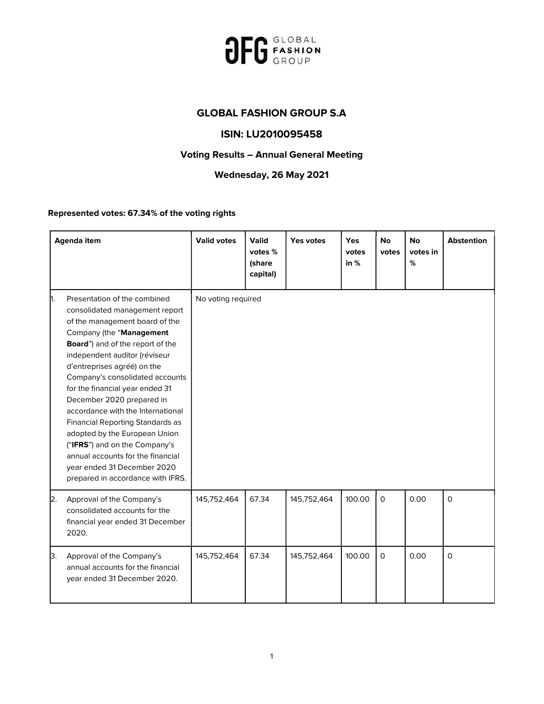

## GLOBAL FASHION GROUP S.A

## ISIN: LU2010095458

## Voting Results – Annual General Meeting

## Wednesday, 26 May 2021

Represented votes: 67.34% of the voting rights

|    | <b>Agenda item</b>                                                                                                                                                                                                                                                                                                                                                                                                                                                                                                                                                                      | <b>Valid votes</b> | <b>Valid</b><br>votes %<br>(share<br>capital) | Yes votes   | Yes<br>votes<br>in $%$ | <b>No</b><br>votes | <b>No</b><br>votes in<br>% | <b>Abstention</b> |
|----|-----------------------------------------------------------------------------------------------------------------------------------------------------------------------------------------------------------------------------------------------------------------------------------------------------------------------------------------------------------------------------------------------------------------------------------------------------------------------------------------------------------------------------------------------------------------------------------------|--------------------|-----------------------------------------------|-------------|------------------------|--------------------|----------------------------|-------------------|
| h. | Presentation of the combined<br>consolidated management report<br>of the management board of the<br>Company (the "Management<br>Board") and of the report of the<br>independent auditor (réviseur<br>d'entreprises agréé) on the<br>Company's consolidated accounts<br>for the financial year ended 31<br>December 2020 prepared in<br>accordance with the International<br>Financial Reporting Standards as<br>adopted by the European Union<br>("IFRS") and on the Company's<br>annual accounts for the financial<br>year ended 31 December 2020<br>prepared in accordance with IFRS. | No voting required |                                               |             |                        |                    |                            |                   |
| 2. | Approval of the Company's<br>consolidated accounts for the<br>financial year ended 31 December<br>2020.                                                                                                                                                                                                                                                                                                                                                                                                                                                                                 | 145,752,464        | 67.34                                         | 145,752,464 | 100.00                 | $\mathsf{O}$       | 0.00                       | $\mathsf{O}$      |
| З. | Approval of the Company's<br>annual accounts for the financial<br>year ended 31 December 2020.                                                                                                                                                                                                                                                                                                                                                                                                                                                                                          | 145,752,464        | 67.34                                         | 145,752,464 | 100.00                 | $\mathsf{O}$       | 0.00                       | 0                 |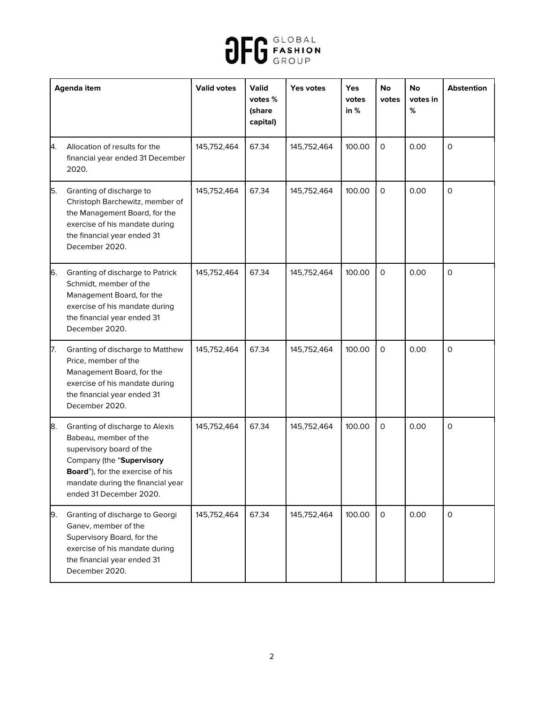

| <b>Agenda item</b> |                                                                                                                                                                                                                       | <b>Valid votes</b> | <b>Valid</b><br>votes %<br>(share<br>capital) | Yes votes   | Yes<br>votes<br>in $%$ | No<br>votes  | <b>No</b><br>votes in<br>% | <b>Abstention</b>   |
|--------------------|-----------------------------------------------------------------------------------------------------------------------------------------------------------------------------------------------------------------------|--------------------|-----------------------------------------------|-------------|------------------------|--------------|----------------------------|---------------------|
| 4.                 | Allocation of results for the<br>financial year ended 31 December<br>2020.                                                                                                                                            | 145,752,464        | 67.34                                         | 145,752,464 | 100.00                 | $\mathsf O$  | 0.00                       | $\mathsf{o}$        |
| 5.                 | Granting of discharge to<br>Christoph Barchewitz, member of<br>the Management Board, for the<br>exercise of his mandate during<br>the financial year ended 31<br>December 2020.                                       | 145,752,464        | 67.34                                         | 145,752,464 | 100.00                 | $\mathsf O$  | 0.00                       | $\mathsf{O}$        |
| 6.                 | Granting of discharge to Patrick<br>Schmidt, member of the<br>Management Board, for the<br>exercise of his mandate during<br>the financial year ended 31<br>December 2020.                                            | 145,752,464        | 67.34                                         | 145,752,464 | 100.00                 | $\mathsf O$  | 0.00                       | $\mathsf{O}\xspace$ |
| 17.                | Granting of discharge to Matthew<br>Price, member of the<br>Management Board, for the<br>exercise of his mandate during<br>the financial year ended 31<br>December 2020.                                              | 145,752,464        | 67.34                                         | 145,752,464 | 100.00                 | $\mathsf{O}$ | 0.00                       | $\mathsf{o}$        |
| 8.                 | Granting of discharge to Alexis<br>Babeau, member of the<br>supervisory board of the<br>Company (the "Supervisory<br>Board"), for the exercise of his<br>mandate during the financial year<br>ended 31 December 2020. | 145,752,464        | 67.34                                         | 145,752,464 | 100.00                 | $\mathsf O$  | 0.00                       | $\mathsf{o}$        |
| 9.                 | Granting of discharge to Georgi<br>Ganev, member of the<br>Supervisory Board, for the<br>exercise of his mandate during<br>the financial year ended 31<br>December 2020.                                              | 145,752,464        | 67.34                                         | 145,752,464 | 100.00                 | $\mathsf{O}$ | 0.00                       | 0                   |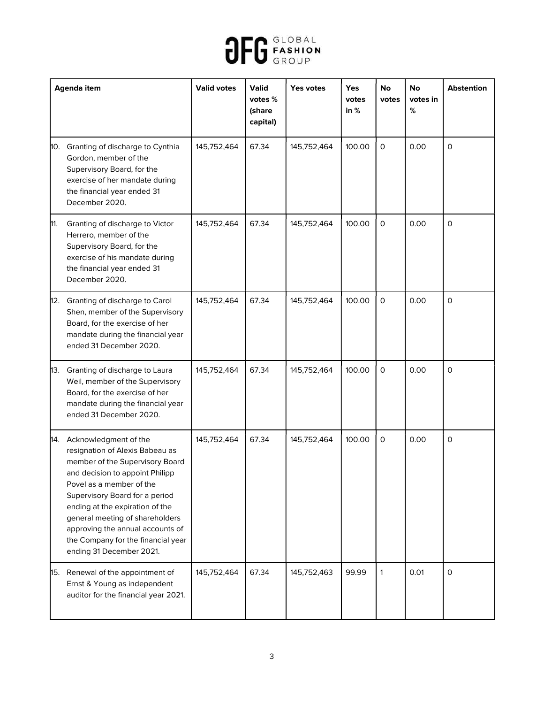

| Agenda item |                                                                                                                                                                                                                                                                                                                                                                              | <b>Valid votes</b> | <b>Valid</b><br>votes %<br>(share<br>capital) | Yes votes   | <b>Yes</b><br>votes<br>in $%$ | No<br>votes  | No<br>votes in<br>% | <b>Abstention</b> |
|-------------|------------------------------------------------------------------------------------------------------------------------------------------------------------------------------------------------------------------------------------------------------------------------------------------------------------------------------------------------------------------------------|--------------------|-----------------------------------------------|-------------|-------------------------------|--------------|---------------------|-------------------|
|             | 10. Granting of discharge to Cynthia<br>Gordon, member of the<br>Supervisory Board, for the<br>exercise of her mandate during<br>the financial year ended 31<br>December 2020.                                                                                                                                                                                               | 145,752,464        | 67.34                                         | 145,752,464 | 100.00                        | $\mathsf O$  | 0.00                | $\mathbf 0$       |
| 11.         | Granting of discharge to Victor<br>Herrero, member of the<br>Supervisory Board, for the<br>exercise of his mandate during<br>the financial year ended 31<br>December 2020.                                                                                                                                                                                                   | 145,752,464        | 67.34                                         | 145,752,464 | 100.00                        | $\mathsf{O}$ | 0.00                | $\mathsf{o}$      |
|             | 12. Granting of discharge to Carol<br>Shen, member of the Supervisory<br>Board, for the exercise of her<br>mandate during the financial year<br>ended 31 December 2020.                                                                                                                                                                                                      | 145,752,464        | 67.34                                         | 145,752,464 | 100.00                        | $\mathsf{O}$ | 0.00                | 0                 |
|             | 13. Granting of discharge to Laura<br>Weil, member of the Supervisory<br>Board, for the exercise of her<br>mandate during the financial year<br>ended 31 December 2020.                                                                                                                                                                                                      | 145,752,464        | 67.34                                         | 145,752,464 | 100.00                        | $\mathsf{O}$ | 0.00                | $\mathsf{O}$      |
|             | 14. Acknowledgment of the<br>resignation of Alexis Babeau as<br>member of the Supervisory Board<br>and decision to appoint Philipp<br>Povel as a member of the<br>Supervisory Board for a period<br>ending at the expiration of the<br>general meeting of shareholders<br>approving the annual accounts of<br>the Company for the financial year<br>ending 31 December 2021. | 145,752,464        | 67.34                                         | 145,752,464 | 100.00                        | $\mathsf{O}$ | 0.00                | 0                 |
|             | 15. Renewal of the appointment of<br>Ernst & Young as independent<br>auditor for the financial year 2021.                                                                                                                                                                                                                                                                    | 145,752,464        | 67.34                                         | 145,752,463 | 99.99                         | 1            | 0.01                | 0                 |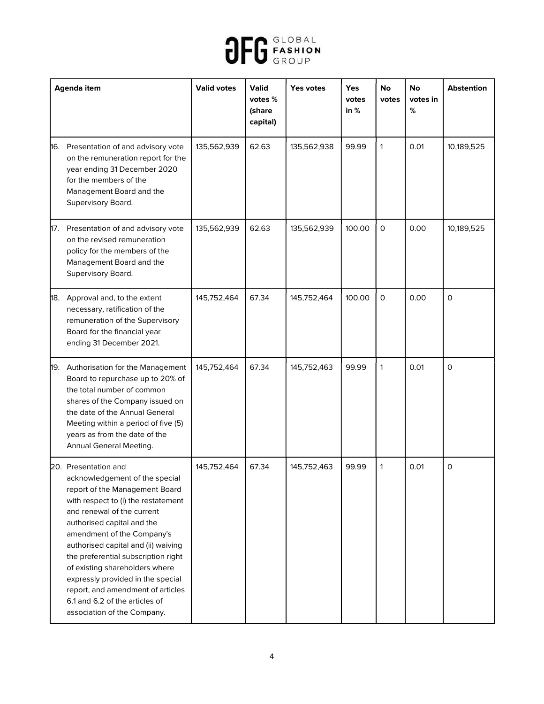

| Agenda item |                                                                                                                                                                                                                                                                                                                                                                                                                                                                                      | <b>Valid votes</b> | <b>Valid</b><br>votes %<br>(share<br>capital) | Yes votes   | <b>Yes</b><br>votes<br>in $%$ | No<br>votes  | <b>No</b><br>votes in<br>% | <b>Abstention</b> |
|-------------|--------------------------------------------------------------------------------------------------------------------------------------------------------------------------------------------------------------------------------------------------------------------------------------------------------------------------------------------------------------------------------------------------------------------------------------------------------------------------------------|--------------------|-----------------------------------------------|-------------|-------------------------------|--------------|----------------------------|-------------------|
|             | 16. Presentation of and advisory vote<br>on the remuneration report for the<br>year ending 31 December 2020<br>for the members of the<br>Management Board and the<br>Supervisory Board.                                                                                                                                                                                                                                                                                              | 135,562,939        | 62.63                                         | 135,562,938 | 99.99                         | $\mathbf{1}$ | 0.01                       | 10,189,525        |
| 17.         | Presentation of and advisory vote<br>on the revised remuneration<br>policy for the members of the<br>Management Board and the<br>Supervisory Board.                                                                                                                                                                                                                                                                                                                                  | 135,562,939        | 62.63                                         | 135,562,939 | 100.00                        | $\mathsf{O}$ | 0.00                       | 10,189,525        |
|             | 18. Approval and, to the extent<br>necessary, ratification of the<br>remuneration of the Supervisory<br>Board for the financial year<br>ending 31 December 2021.                                                                                                                                                                                                                                                                                                                     | 145,752,464        | 67.34                                         | 145,752,464 | 100.00                        | $\mathsf{O}$ | 0.00                       | $\mathsf{o}$      |
| 19.         | Authorisation for the Management<br>Board to repurchase up to 20% of<br>the total number of common<br>shares of the Company issued on<br>the date of the Annual General<br>Meeting within a period of five (5)<br>years as from the date of the<br>Annual General Meeting.                                                                                                                                                                                                           | 145,752,464        | 67.34                                         | 145,752,463 | 99.99                         | $\mathbf{1}$ | 0.01                       | $\mathsf{o}$      |
|             | 20. Presentation and<br>acknowledgement of the special<br>report of the Management Board<br>with respect to (i) the restatement<br>and renewal of the current<br>authorised capital and the<br>amendment of the Company's<br>authorised capital and (ii) waiving<br>the preferential subscription right<br>of existing shareholders where<br>expressly provided in the special<br>report, and amendment of articles<br>6.1 and 6.2 of the articles of<br>association of the Company. | 145,752,464        | 67.34                                         | 145,752,463 | 99.99                         | $\mathbf{1}$ | 0.01                       | 0                 |